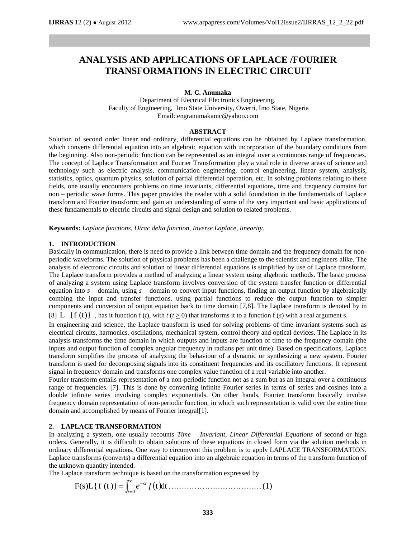# **ANALYSIS AND APPLICATIONS OF LAPLACE /FOURIER TRANSFORMATIONS IN ELECTRIC CIRCUIT**

### **M. C. Anumaka**

Department of Electrical Electronics Engineering, Faculty of Engineering, Imo State University, Owerri, Imo State, Nigeria Email: [engranumakamc@yahoo.com](mailto:engranumakamc@yahoo.com)

## **ABSTRACT**

Solution of second order linear and ordinary, differential equations can be obtained by Laplace transformation, which converts differential equation into an algebraic equation with incorporation of the boundary conditions from the beginning. Also non-periodic function can be represented as an integral over a continuous range of frequencies. The concept of Laplace Transformation and Fourier Transformation play a vital role in diverse areas of science and technology such as electric analysis, communication engineering, control engineering, linear system, analysis, statistics, optics, quantum physics, solution of partial differential operation, etc. In solving problems relating to these fields, one usually encounters problems on time invariants, differential equations, time and frequency domains for non – periodic wave forms. This paper provides the reader with a solid foundation in the fundamentals of Laplace transform and Fourier transform; and gain an understanding of some of the very important and basic applications of these fundamentals to electric circuits and signal design and solution to related problems.

**Keywords:** *Laplace functions, Dirac delta function, Inverse Laplace, linearity.*

### **1. INTRODUCTION**

Basically in communication, there is need to provide a link between time domain and the frequency domain for nonperiodic waveforms. The solution of physical problems has been a challenge to the scientist and engineers alike. The analysis of electronic circuits and solution of linear differential equations is simplified by use of Laplace transform. The Laplace transform provides a method of analyzing a linear system using algebraic methods. The basic process of analyzing a system using Laplace transform involves conversion of the system transfer function or differential equation into  $s$  – domain, using  $s$  – domain to convert input functions, finding an output function by algebraically combing the input and transfer functions, using partial functions to reduce the output function to simpler components and conversion of output equation back to time domain [7,8]. The Laplace transform is denoted by in [8] L  $\{f(t)\}\;$ , has it function  $f(t)$ , with  $t(t \geq 0)$  that transforms it to a function  $f(s)$  with a real argument s.

In engineering and science, the Laplace transform is used for solving problems of time invariant systems such as electrical circuits, harmonics, oscillations, mechanical system, control theory and optical devices. The Laplace in its analysis transforms the time domain in which outputs and inputs are function of time to the frequency domain (the inputs and output function of complex angular frequency in radians per unit time). Based on specifications, Laplace transform simplifies the process of analyzing the behaviour of a dynamic or synthesizing a new system. Fourier transform is used for decomposing signals into its constituent frequencies and its oscillatory functions. It represent signal in frequency domain and transforms one complex value function of a real variable into another.

Fourier transform entails representation of a non-periodic function not as a sum but as an integral over a continuous range of frequencies. [7]. This is done by converting infinite Fourier series in terms of series and cosines into a double infinite series involving complex exponentials. On other hands, Fourier transform basically involve frequency domain representation of non-periodic function, in which such representation is valid over the entire time domain and accomplished by means of Fourier integral[1].

## **2. LAPLACE TRANSFORMATION**

In analyzing a system, one usually recounts *Time – Invariant, Linear Differential Equations* of second or high orders. Generally, it is difficult to obtain solutions of these equations in closed form via the solution methods in ordinary differential equations. One way to circumvent this problem is to apply LAPLACE TRANSFORMATION. Laplace transforms (converts) a differential equation into an algebraic equation in terms of the transform function of the unknown quantity intended.

The Laplace transform technique is based on the transformation expressed by

F(s)L{f (t )} tdt (1) 0 *t st e f*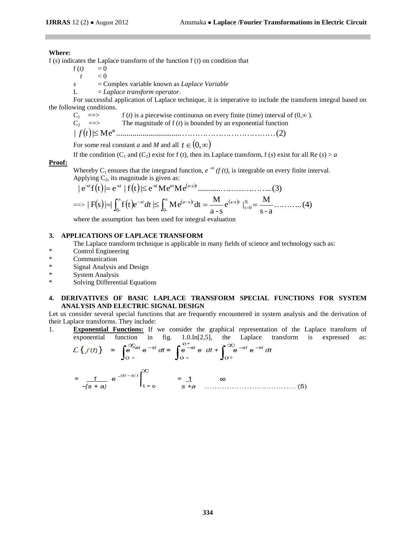## **Where:**

f (*s*) indicates the Laplace transform of the function f (*t*) on condition that

 $f(t) = 0$ 

- $t \leq 0$
- *s* = Complex variable known as *Laplace Variable*
- L = *Laplace transform operator*.

For successful application of Laplace technique, it is imperative to include the transform integral based on the following conditions.

 $C_1$  =  $\Rightarrow$  f (*t*) is a piecewise continuous on every finite (time) interval of (0, $\infty$ ).

 $C_2$  =  $\Rightarrow$  The magnitude of f (*t*) is bounded by an exponential function

<sup>|</sup> <sup>|</sup> M e ................................ (2) *<sup>f</sup> <sup>t</sup>* at

For some real constant *a* and *M* and all  $t \in (0, \infty)$ 

If the condition  $(C_1$  and  $(C_2)$  exist for f  $(t)$ , then its Laplace transform, f  $(s)$  exist for all Re  $(s) > a$ 

### **Proof:**

Whereby C<sub>1</sub> ensures that the integrand function, *e*<sup>-st</sup> (*f* (*t*), is integrable on every finite interval.<br>Applying C<sub>2</sub>, its magnitude is given as:<br> $|e^{st}f(t)| = e^{st} |f(t)| \le e^{st} Me^{at}Me^{(a-s)t}$ ................................ Applying C<sub>2</sub>, its magnitude is given as:<br>  $|e^{st}f(t)| = e^{st} |f(t)| \le e^{st} Me^{at}Me^{(a-s)t}$ 

Applying C<sub>2</sub>, its magnitude is given as:  
\n
$$
|e^{-st}f(t)| = e^{-st} |f(t)| \le e^{-st} Me^{at}Me^{(a-s)t}
$$
.................(3)  
\n $= \Rightarrow |F(s)| = \int_{0}^{\infty} f(t)e^{-st} dt \le \int_{0}^{\infty} Me^{(a-s)t} dt = \frac{M}{a-s}e^{(a-s)t} \Big|_{t=0}^{X} = \frac{M}{s-a}$ .................(4)

$$
a - s
$$
  $a - s$   $s - a$ 

where the assumption has been used for integral evaluation

## **3. APPLICATIONS OF LAPLACE TRANSFORM**

- The Laplace transform technique is applicable in many fields of science and technology such as:
- \* Control Engineering
- \* Communication
- \* Signal Analysis and Design
- \* System Analysis
- \* Solving Differential Equations

## **4. DERIVATIVES OF BASIC LAPLACE TRANSFORM SPECIAL FUNCTIONS FOR SYSTEM ANALYSIS AND ELECTRIC SIGNAL DESIGN**

Let us consider several special functions that are frequently encountered in system analysis and the derivation of their Laplace transforms. They include:

1. **Exponential Functions:** If we consider the graphical representation of the Laplace transform of exponential function in fig. 1.0.1n[2,5], the Laplace transform is expressed as:  

$$
\mathcal{L}\left\{f(t)\right\} = \int_{0}^{\infty} e^{-st} e^{-st} dt = \int_{0}^{0+at} e^{-at} e^{-at} dt + \int_{0+}^{\infty} e^{-at} e^{-st} dt
$$

$$
= \frac{1}{-(s+a)} e^{- (st-a)t} \Big|_{t=0}^{\infty} = \frac{1}{s+a} \quad \infty
$$
 (5)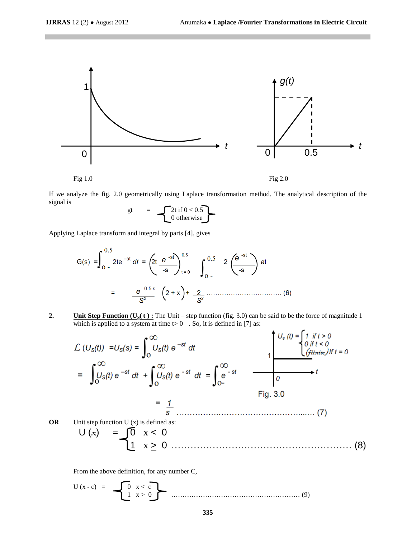$\overline{a}$ 



If we analyze the fig. 2.0 geometrically using Laplace transformation method. The analytical description of the signal is

$$
gt = \left\{\begin{matrix} 2t & \text{if } 0 < 0.5 \\ 0 & \text{otherwise} \end{matrix}\right\}
$$

Applying Laplace transform and integral by parts [4], gives

G(s) 
$$
=\int_{0}^{0.5} 2te^{-st} dt = \left(2t \frac{e^{-st}}{-s}\right)_{t=0}^{0.5} \int_{0.5}^{0.5} 2\left(\frac{e^{-st}}{-s}\right) dt
$$
  
 $= \frac{e^{-0.5s}}{s^2} \left(2+x\right) + \frac{2}{s^2} \dots \dots \dots \dots \dots \dots \dots \tag{6}$ 

**2. Unit Step Function (U<sub>S</sub>** $(t)$ **):** The Unit – step function (fig. 3.0) can be said to be the force of magnitude 1 which is applied to a system at time  $t \ge 0^+$ . So, it is defined in [7] as:

$$
L (US(t)) = US(s) = \int_0^\infty US(t) e^{-st} dt
$$
  
\n
$$
= \int_0^\infty US(t) e^{-st} dt + \int_0^\infty US(t) e^{-st} dt = \int_0^\infty e^{-st}
$$
  
\n
$$
= \frac{1}{\int_0^\infty US(t) e^{-st} dt + \int_0^\infty US(t) e^{-st} dt = \int_0^\infty e^{-st}
$$
  
\n
$$
= \frac{1}{\int_0^\infty US(t) e^{-st} dt + \int_0^\infty US(t) e^{-st} dt = \int_0^\infty e^{-st}
$$
  
\n
$$
= \frac{1}{\int_0^\infty US (t) e^{-st} dt + \int_0^\infty US(t) e^{-st} dt = \int_0^\infty e^{-st}
$$
  
\n
$$
= \frac{1}{\int_0^\infty US (t) e^{-st} dt + \int_0^\infty US(t) e^{-st} dt = \int_0^\infty e^{-st}
$$
  
\n
$$
= \frac{1}{\int_0^\infty US (t) e^{-st} dt + \int_0^\infty US(t) e^{-st} dt = \int_0^\infty e^{-st}
$$
  
\n
$$
= \frac{1}{\int_0^\infty US (t) e^{-st} dt + \int_0^\infty US(t) e^{-st} dt = \int_0^\infty e^{-st}
$$
  
\n
$$
= \frac{1}{\int_0^\infty US (t) e^{-st} dt + \int_0^\infty US (t) e^{-st} dt = \int_0^\infty e^{-st}
$$
  
\n
$$
= \frac{1}{\int_0^\infty US (t) e^{-st} dt + \int_0^\infty US (t) e^{-st} dt = \int_0^\infty e^{-st}
$$
  
\n
$$
= \frac{1}{\int_0^\infty US (t) e^{-st} dt + \int_0^\infty US (t) e^{-st} dt = \
$$

From the above definition, for any number C,

$$
U(x-c) = \begin{bmatrix} 0 & x < c \\ 1 & x \ge 0 \end{bmatrix}
$$
 (9)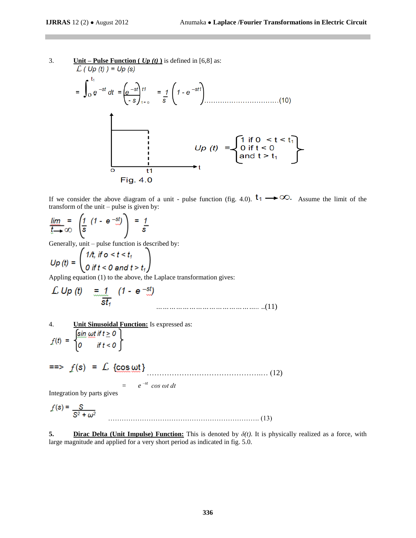3. 
$$
\frac{\text{Unit} - \text{Pulse Function } (Up(t)) \text{ is defined in } [6,8] \text{ as:}}{\int_C (Up(t)) = Up(s)} = \int_0^{t_1} dt = \left(\frac{e^{-st}}{-s}\right) \frac{t^{\frac{1}{2}}}{\left(-s\right) \frac{t}{s}} = \frac{1}{s} \left(1 - e^{-st}\right) \dots \dots (10)
$$
\n
$$
Up(t) = \begin{cases} \frac{1}{s} \text{ if } 0 < t < t_1 \\ 0 & \text{ if } t < 0 \\ 0 & \text{ if } t < 0 \\ 0 & \text{ if } t > t_1 \end{cases} \dots (10)
$$
\n
$$
Up(t) = \begin{cases} \frac{1}{s} \text{ if } 0 < t < t_1 \\ \text{and } t > t_1 \end{cases}
$$

If we consider the above diagram of a unit - pulse function (fig. 4.0).  $t_1 \rightarrow \infty$ . Assume the limit of the transform of the unit – pulse is given by:

$$
\lim_{x \to \infty} \frac{1}{x} = \left( \frac{1}{s} \left( 1 - e^{-st} \right) \right) = \frac{1}{s}
$$

Generally, unit – pulse function is described by:

$$
Up(t) = \begin{pmatrix} 1/t, & \text{if } o < t < t_1 \\ 0 & \text{if } t < 0 \text{ and } t > t_1 \end{pmatrix}
$$

Appling equation (1) to the above, the Laplace transformation gives:

$$
\mathcal{L} \text{ Up (t)} = \underbrace{1}_{\text{st}_1} (1 - e^{-\text{st}})
$$
 (11)

4. **Unit Sinusoidal Function:** Is expressed as:

$$
f(t) = \begin{cases} \sin \omega t & \text{if } t \ge 0 \\ 0 & \text{if } t < 0 \end{cases}
$$

$$
=\!\!\!>
$$
  $f(s) = L {cos \omega t}$  (12)

 $=$   $e^{-st} \cos \omega t \, dt$ 

Integration by parts gives

$$
f(s) = \frac{S}{S^2 + \omega^2}
$$
 (13)

**5. Dirac Delta (Unit Impulse) Function:** This is denoted by *δ(t)*. It is physically realized as a force, with large magnitude and applied for a very short period as indicated in fig. 5.0.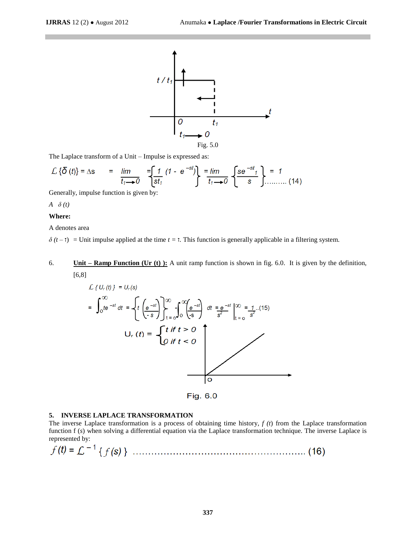

The Laplace transform of a Unit – Impulse is expressed as:

$$
\mathcal{L}\left\{\delta\left(t\right)\right\} = \Delta s \qquad = \qquad \lim_{t_1 \to 0} \quad = \left[\frac{1}{st_1} \left(1 - e^{-st}\right)\right] \quad = \lim_{t_1 \to 0} \quad \left\{\frac{\delta e^{-st_1}}{s}\right\} = 1 \qquad (14)
$$

Generally, impulse function is given by:

*A δ (t)*

### **Where:**

A denotes area

 $\delta(t-\tau)$  = Unit impulse applied at the time  $t = \tau$ . This function is generally applicable in a filtering system.

## 6. **Unit – Ramp Function (Ur (t) ):** A unit ramp function is shown in fig. 6.0. It is given by the definition, [6,8]

$$
\mathcal{L}\left\{U_{r}(t)\right\} = U_{r}(s)
$$
\n
$$
= \int_{0}^{\infty} t e^{-st} dt = \left\{ t \left(\frac{e^{-st}}{-s}\right) \right\}_{t=0}^{\infty} \int_{0}^{\infty} \left(\frac{e^{-st}}{-s}\right) dt = \frac{e^{-st}}{s^{2}} \Big|_{t=0}^{\infty} = 1 \quad (15)
$$
\n
$$
U_{r}(t) = \left\{ \begin{array}{l} t \text{ if } t > 0 \\ 0 \text{ if } t < 0 \end{array} \right\}
$$

### **5. INVERSE LAPLACE TRANSFORMATION**

The inverse Laplace transformation is a process of obtaining time history, *f (t*) from the Laplace transformation function f (*s*) when solving a differential equation via the Laplace transformation technique. The inverse Laplace is represented by:

Fig. 6.0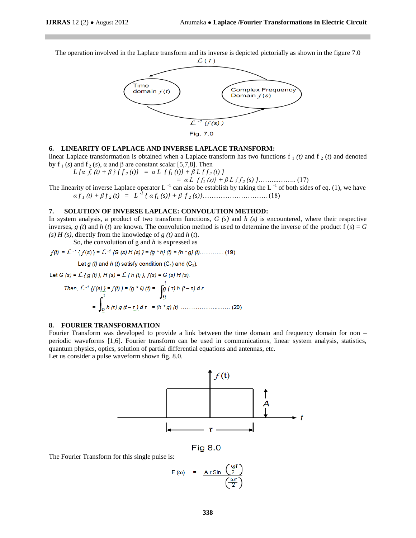The operation involved in the Laplace transform and its inverse is depicted pictorially as shown in the figure 7.0



#### **6. LINEARITY OF LAPLACE AND INVERSE LAPLACE TRANSFORM:**

linear Laplace transformation is obtained when a Laplace transform has two functions  $f_1(t)$  and  $f_2(t)$  and denoted by f<sub>1</sub> (*s*) and f<sub>2</sub> (*s*), α and β are constant scalar [5,7,8]. Then

 $L \{a \, f, \, (t) + \beta \} \{f_2(t)\} = a \, L \{f_1(t)\} + \beta \, L \{f_2(t)\}$ 

*= α L { f<sup>1</sup> (s)} + β L { f <sup>2</sup> (s) }*……....…….. (17)

The linearity of inverse Laplace operator L<sup>-1</sup> can also be establish by taking the L<sup>-1</sup> of both sides of eq. (1), we have *α f <sup>1</sup> (t) + β f <sup>2</sup> (t) = L -1 { α f<sup>1</sup> (s)} + β f <sup>2</sup> (s)}*……………………….. (18)

### **7. SOLUTION OF INVERSE LAPLACE: CONVOLUTION METHOD:**

In system analysis, a product of two transform functions, *G (s)* and *h (s)* is encountered, where their respective inverses,  $g(t)$  and  $h(t)$  are known. The convolution method is used to determine the inverse of the product  $f(s) = G$ *(s) H (s)*, directly from the knowledge of *g (t)* and *h* (*t*).

So, the convolution of g and *h* is expressed as

Let  $q$  (t) and  $h$  (t) satisfy condition (C<sub>1</sub>) and (C<sub>2</sub>).

Let  $G(s) = L \{ g(t) \}$ ,  $H(s) = L \{ h(t) \}$ ,  $f(s) = G(s) H(s)$ . Then,  $\int_{0}^{1} f(f(s)) = f(t)$  =  $(a * h)(t) = \int_{0}^{h} f(t) h(t - t) dt$ 

$$
= \int_{0}^{t} h(r) g(t-\underline{r}) d\tau = (h * g)(t) \qquad (20)
$$

### **8. FOURIER TRANSFORMATION**

Fourier Transform was developed to provide a link between the time domain and frequency domain for non – periodic waveforms [1,6]. Fourier transform can be used in communications, linear system analysis, statistics, quantum physics, optics, solution of partial differential equations and antennas, etc.

Let us consider a pulse waveform shown fig. 8.0.



**Fig 8.0** 

The Fourier Transform for this single pulse is:

$$
F(\omega) = \frac{A r \sin \left(\frac{\omega r}{2}\right)}{\frac{\omega r}{2}}
$$